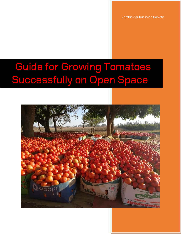Zambia Agribusiness Society

# **Guide for Growing Tomatoes** Successfully on Open Space]

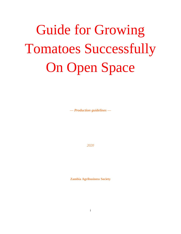# Guide for Growing Tomatoes Successfully On Open Space

*— Production guidelines —*

*2020*

**Zambia Agribusiness Society**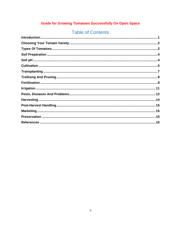### **Guide for Growing Tomatoes Successfully On Open Space**

## **Table of Contents**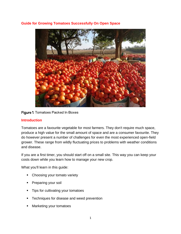#### **Guide for Growing Tomatoes Successfully On Open Space**



#### Figure 1. Tomatoes Packed In Boxes

#### **Introduction**

Tomatoes are a favourite vegetable for most farmers. They don't require much space, produce a high value for the small amount of space and are a consumer favourite. They do however present a number of challenges for even the most experienced open-field grower. These range from wildly fluctuating prices to problems with weather conditions and disease.

If you are a first timer, you should start off on a small site. This way you can keep your costs down while you learn how to manage your new crop.

What you'll learn in this guide:

- Choosing your tomato variety
- Preparing your soil
- **Tips for cultivating your tomatoes**
- Techniques for disease and weed prevention
- Marketing your tomatoes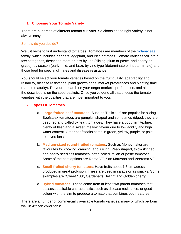#### **1. Choosing Your Tomato Variety**

There are hundreds of different tomato cultivars. So choosing the right variety is not always easy.

#### So how do you decide?

Well, it helps to first understand tomatoes. Tomatoes are members of the [Solanaceae](https://en.wikipedia.org/wiki/Solanaceae) family, which includes peppers, eggplant, and Irish potatoes. Tomato varieties fall into a few categories, described more or less by use (slicing, plum or paste, and cherry or grape), by season (early, mid, and late), by vine type (determinate or indeterminate) and those bred for special climates and disease resistance.

You should select your tomato varieties based on the fruit quality, adaptability and reliability, disease resistance, plant growth habit, market preferences and planting time (date to maturity). Do your research on your target market's preferences, and also read the descriptions on the seed packets. Once you've done all that choose the tomato varieties with the qualities that are most important to you.

#### **2. Types Of Tomatoes**

- a. **Large-fruited beef tomatoes**: Such as 'Delicious' are popular for slicing. Beefsteak tomatoes are pumpkin shaped and sometimes ridged; they are deep red and called oxheart tomatoes. They have a good firm texture, plenty of flesh and a sweet, mellow flavour due to low acidity and high water content. Other beefsteaks come in green, yellow, purple, or pale rose versions.
- b. **Medium-sized round-fruited tomatoes**: Such as Moneymaker are favourites for cooking, canning, and juicing. Pear-shaped, thick-skinned, and nearly seedless tomatoes, often called Italian or paste tomatoes. Some of the best options are Roma VF, San Marzano and Veeroma VF.
- c. **Small-fruited cherry tomatoes**: Have fruits about 1.5 cm across, produced in great profusion. These are used in salads or as snacks. Some examples are "Sweet 100", Gardener's Delight and Golden cherry.
- d. **Hybrid tomatoes**: These come from at least two parent tomatoes that possess desirable characteristics such as disease resistance, or good colour with the aim to produce a tomato that combines both features.

There are a number of commercially available tomato varieties, many of which perform well in African conditions: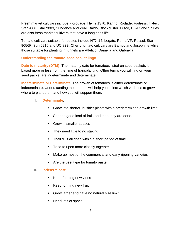Fresh market cultivars include Florodade, Heinz 1370, Karino, Rodade, Fortress, Hytec, Star 9001, Star 9003, Sundance and Zeal. Baldo, Blockbuster, Disco, P 747 and Shirley are also fresh market cultivars that have a long shelf life.

Tomato cultivars suitable for pastes include HTX 14, Legato, Roma VF, Rossol, Star 9056F, Sun 6216 and UC 82B. Cherry tomato cultivars are Bamby and Josephine while those suitable for planting in tunnels are Atletico, Daniella and Gabriella.

#### **Understanding the tomato seed packet lingo**

**Date to maturity (DTM):** The maturity date for tomatoes listed on seed packets is based more or less from the time of transplanting. Other terms you will find on your seed packet are indeterminate and determinate.

**Indeterminate or Determinate**: The growth of tomatoes is either determinate or indeterminate. Understanding these terms will help you select which varieties to grow, where to plant them and how you will support them.

- I. **Determinate**:
	- Grow into shorter, bushier plants with a predetermined growth limit
	- Set one good load of fruit, and then they are done.
	- Grow in smaller spaces
	- They need little to no staking
	- **Their fruit all ripen within a short period of time**
	- **Tend to ripen more closely together.**
	- Make up most of the commercial and early ripening varieties
	- Are the best type for tomato paste

#### **II. Indeterminate**

- **Keep forming new vines**
- Keep forming new fruit
- **Grow larger and have no natural size limit.**
- Need lots of space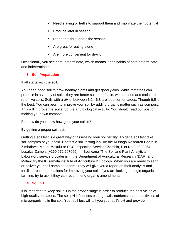- Need staking or trellis to support them and maximize their potential
- Produce later in season
- **Ripen fruit throughout the season**
- Are great for eating alone
- **Are more convenient for drying**

Occasionally you see semi-determinate, which means it has habits of both determinate and indeterminate.

#### **3. Soil Preparation**

It all starts with the soil.

You need good soil to grow healthy plants and get good yields. While tomatoes can produce in a variety of soils, they are better suited to fertile, well-drained and moisture retentive soils. Soils with a pH of between 6.2 - 6.8 are ideal for tomatoes. Though 6.5 is the best. You can begin to improve your soil by adding organic matter such as compost. This will improve the soil structure and biological activity. You should read our post on making your own compost.

But how do you know how good your soil is?

By getting a proper soil test.

Getting a soil test is a great way of assessing your soil fertility. To get a soil test take soil samples of your field. Contact a soil testing lab like the Kutsaga Research Board in Zimbabwe, Mount Makulu or SGS Inspection Services Zambia, Plot No 2 of 32254 Lusaka, Zambia (+260 972 207066). In Botswana "The Soil and Plant Analytical Laboratory service provider is in the Department of Agricultural Research (DAR) and Malawi try the Kusamala institute of Agriculture & Ecology. When you are ready to send or deliver your soli sample to them. They will give you a report on their analysis and fertiliser recommendations for improving your soil. If you are looking to begin organic farming, try to ask if they can recommend organic amendments.

#### **4. Soil pH**

It is important to keep soil pH in the proper range in order to produce the best yields of high-quality tomatoes. The soil pH influences plant growth, nutrients and the activities of microorganisms in the soil. Your soil test will tell you your soil's pH and provide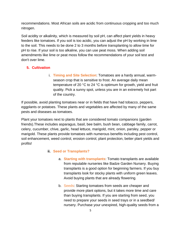recommendations. Most African soils are acidic from continuous cropping and too much nitrogen.

Soil acidity or alkalinity, which is measured by soil pH, can affect plant yields in heavy feeders like tomatoes. If you soil is too acidic, you can adjust the pH by working in lime to the soil. This needs to be done 2 to 3 months before transplanting to allow time for pH to rise. If your soil is too alkaline, you can use peat moss. When adding soil amendments like lime or peat moss follow the recommendations of your soil test and don't over lime.

#### **5. Cultivation**

i. **Timing and Site Selection**: Tomatoes are a hardy annual, warmseason crop that is sensitive to frost. An average daily mean temperature of 20 °C to 24 °C is optimum for growth, yield and fruit quality. Pick a sunny spot, unless you are in an extremely hot part of the country.

If possible, avoid planting tomatoes near or in fields that have had tobacco, peppers, eggplants or potatoes. These plants and vegetables are affected by many of the same pests and diseases as tomatoes.

Plant your tomatoes next to plants that are considered tomato companions (garden friends).These includes asparagus, basil, bee balm, bush bean, cabbage family, carrot, celery, cucumber, chive, garlic, head lettuce, marigold, mint, onion, parsley, pepper or marigold. These plants provide tomatoes with numerous benefits including pest control, soil enhancement, weed control, erosion control, plant protection, better plant yields and profits!

#### **ii. Seed or Transplants?**

- a. **Starting with transplants**: Tomato transplants are available from reputable nurseries like Badze Garden Nursery. Buying transplants is a good option for beginning farmers. If you buy transplants look for stocky plants with uniform green leaves. Avoid buying plants that are already flowering.
- b. Seeds: Starting tomatoes from seeds are cheaper and provide more plant options, but it takes more time and care than buying transplants. If you are starting from seed, you need to prepare your seeds in seed trays or in a seedbed/ nursery. Purchase your unexpired, high-quality seeds from a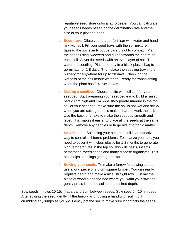reputable seed store or local agro dealer. You can calculate your seeds needs based on the germination rate and the size of your plot and beds.

- c. **Seed trays**: Dilute your starter fertiliser with water and hand mix with soil. Fill your seed trays with the soil mixture. Spread the soil evenly but be careful not to compact. Plant the seeds using tweezers and guide towards the centre of each cell. Cover the seeds with an even layer of soil. Then water the seedling. Place the tray in a black plastic bag to germinate for 2-8 days. Then place the seedling tray in the nursery for anywhere for up to 28 days. Check on the wetness of the soil before watering. Ready for transplanting when the plant has 2-4 true leaves.
- d. **Making a seedbed**: Choose a site with full sun for your seedbed. Start preparing your seedbed early. Build a raised bed 20 cm high and 1m wide. Incorporate manure in the top soil of your seedbed. Make sure the soil is not wet and sticky when you are setting up, this make it hard to work the soil. Use the back of a rake to make the seedbed smooth and level. This makes it easier to place all the seeds at the same depth. Remove any pebbles or large bits of organic matter.
- e. **Solarize soil**: Solarizing your seedbed soil is an effective way to control soil borne problems. To solarize your soil, you need to cover it with clear plastic for 1-2 months to generate high temperatures in the top soil this kills pests, insects, nematodes, weed seeds and many disease organisms. This also helps seedlings get a good start.
- f. **Sowing your seeds**: To make a furrow for sowing seeds, use a long piece of 2.5 cm square lumber. You can easily regulate depth and make a nice, straight row. Just lay the piece of wood along the bed where you want your row and gently press it into the soil to the desired depth.

Sow seeds in rows 10-15cm apart and 2cm between seeds. Sow seed 5 - 10mm deep. After sowing the seed, gently fill the furrow by dribbling a handful of soil into it, crumbling any lumps as you go. Gently pat the soil to make sure it contacts the seeds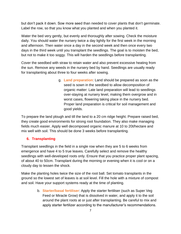but don't pack it down. Sow more seed than needed to cover plants that don't germinate. Label the row, so that you know what you planted and when you planted it.

Water the bed very gently, but evenly and thoroughly after sowing. Check the moisture daily. You should water the nursery twice a day lightly for the first week in the morning and afternoon. Then water once a day in the second week and then once every two days in the third week until you transplant the seedlings. The goal is to moisten the bed, but not to make it too soggy. This will harden the seedlings before transplanting.

Cover the seedbed with straw to retain water and also prevent excessive heating from the sun. Remove any weeds in the nursery bed by hand. Seedlings are usually ready for transplanting about three to four weeks after sowing.

> g. **Land preparation**: Land should be prepared as soon as the seed is sown in the seedbed to allow decomposition of organic matter: Late land preparation will lead to seedlings over-staying at nursery level, making them overgrow and in worst cases, flowering taking place in the nursery bed. Proper land preparation is critical for soil management and good yields.

To prepare the land plough and till the land to a 20 cm ridge height. Prepare raised bed, they create good environments for strong root foundation. They also make managing fields much easier. Apply well decomposed organic manure at 10 to 20t/hectare and mix well with soil. This should be done 3 weeks before transplanting.

#### **6. Transplanting**

Transplant seedlings in the field in a single row when they are 5 to 6 weeks from emergence and have 4 to 5 true leaves. Carefully select and remove the healthy seedlings with well-developed roots only. Ensure that you practice proper plant spacing, of about 40 to 50cm. Transplant during the morning or evening when it is cool or on a cloudy day to lessen the shock.

Make the planting holes twice the size of the root ball. Set tomato transplants in the ground so the lowest set of leaves is at soil level. Fill the hole with a mixture of compost and soil. Have your support systems ready at the time of planting.

> b. **Starter/basal fertiliser**: Apply the starter fertiliser (such as Super Veg Feed or Miracle Grow) that is dissolved in water, and apply it to the soil around the plant roots at or just after transplanting. Be careful to mix and apply starter fertilizer according to the manufacturer's recommendations.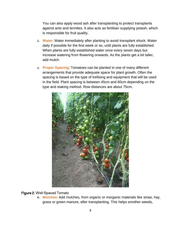You can also apply wood ash after transplanting to protect transplants against ants and termites. It also acts as fertiliser supplying potash, which is responsible for fruit quality.

- c. **Water**: Water immediately after planting to avoid transplant shock. Water daily if possible for the first week or so, until plants are fully established. When plants are fully established water once every seven days but increase watering from flowering onwards. As the plants get a bit taller, add mulch.
- d. **Proper Spacing**: Tomatoes can be planted in one of many different arrangements that provide adequate space for plant growth. Often the spacing is based on the type of trellising and equipment that will be used in the field. Plant spacing is between 45cm and 60cm depending on the type and staking method. Row distances are about 75cm.



#### Figure 2. Well-Spaced Tomato

e. **Mulches**: Add mulches, from organic or inorganic materials like straw, hay, grass or green manure, after transplanting. This helps smother weeds,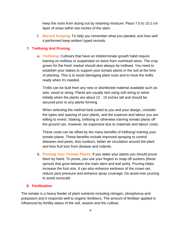keep the roots from drying out by retaining moisture. Place 7.6 to 10.2 cm layer of straw within two inches of the stem.

f. **Record Keeping**: To help you remember what you planted, and how well it performed keep written/ typed records.

#### **7. Trellising And Pruning**

a. **Trellising:** Cultivars that have an indeterminate growth habit require training on trellises or suspended on twine from overhead wires. The crop grown for the fresh market should also always be trellised. You need to establish your stakes to support your tomato plants in the soil at the time of planting. This is to avoid damaging plant roots and to have the trellis ready when it's needed.

Trellis can be built from any new or disinfected material available such as wire, wood or string. Plants are usually tied using soft string or twine initially when the plants are about 12 - 15 inches tall and should be secured prior to any plants forming.

When selecting the method best suited to you and your design, consider the types and spacing of your plants, and the expense and labour you are willing to invest. Staking, trellising or otherwise training tomato plants off the ground can, however, be expensive due to materials and labour costs.

These costs can be offset by the many benefits of trellising/ training your tomato plants. These benefits include improved spraying to control diseases and pests, less sunburn, better air circulation around the plant and less fruit loss from disease and rodents.

b. **Pruning Your Tomato Plants**: If you stake your plants you should prune them by hand. To prune, you use your fingers to snap off suckers {these sprouts that grow between the main stem and leaf axils}. Pruning helps increase the fruit size. It can also enhance earliness of the crown set, reduce pest pressure and enhance spray coverage. Do avoid over pruning to avoid sunscald.

#### **8. Fertilisation**

The tomato is a heavy feeder of plant nutrients including nitrogen, phosphorus and potassium and it responds well to organic fertilisers. The amount of fertiliser applied is influenced by fertility status of the soil, season and the cultivar.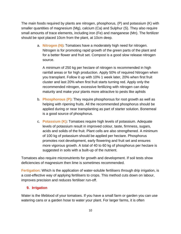The main foods required by plants are nitrogen, phosphorus, (P) and potassium (K) with smaller quantities of magnesium (Mg), calcium (Ca) and Sulphur (S). They also require small amounts of trace elements, including iron (Fe) and manganese (Mn). The fertilizer should be spot placed 10cm from the plant, at 10cm deep.

> a. **Nitrogen (N):** Tomatoes have a moderately high need for nitrogen. Nitrogen is for promoting rapid growth of the green parts of the plant and for a better flower and fruit set. Compost is a good slow release nitrogen source.

A minimum of 250 kg per hectare of nitrogen is recommended in high rainfall areas or for high production. Apply 50% of required Nitrogen when you transplant. Follow it up with 10% 1 week later, 20% when first fruit cluster and last 20% when first fruit starts turning red. Apply only the recommended nitrogen, excessive fertilizing with nitrogen can delay maturity and make your plants more attractive to pests like aphids

- b. **Phosphorous (P):** They require phosphorous for root growth as well as helping with ripening fruits. All the recommended phosphorus should be applied during or near transplanting as part of starter solution. Bonemeal is a good source of phosphorus.
- c. **Potassium (K):** Tomatoes require high levels of potassium. Adequate levels of potassium result in improved colour, taste, firmness, sugars, acids and solids of the fruit. Plant cells are also strengthened. A minimum of 100 kg of potassium should be applied per hectare. Phosphorus promotes root development, early flowering and fruit set and ensures more vigorous growth. A total of 40 to 60 kg of phosphorus per hectare is suggested in soils with a built-up of the nutrient.

Tomatoes also require micronutrients for growth and development. If soil tests show deficiencies of magnesium then lime is sometimes recommended.

**Fertigation:** Which is the application of water-soluble fertilisers through drip irrigation, is a cost-effective way of applying fertilisers to crops. This method cuts down on labour, improves precision and reduces fertiliser run-off.

#### **9. Irrigation**

Water is the lifeblood of your tomatoes. If you have a small farm or garden you can use watering cans or a garden hose to water your plant. For larger farms, it is often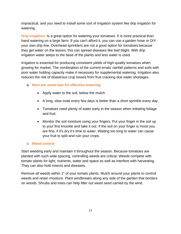impractical, and you need to install some sort of irrigation system like drip irrigation for watering.

**Drip irrigation**: Is a great option for watering your tomatoes. It is more practical than hand watering on a large farm. If you can't afford it, you can use a garden hose or DIY your own drip line. Overhead sprinklers are not a good option for tomatoes because they get water on the leaves, this can spread diseases like leaf blight. With drip irrigation water seeps to the base of the plants and less water is used.

Irrigation is essential for producing consistent yields of high-quality tomatoes when growing for market. The combination of the current erratic rainfall patterns and soils with poor water holding capacity make it necessary for supplemental watering. Irrigation also reduces the risk of disastrous crop losses from fruit cracking due water shortages.

#### a. **Here are some tips for effective watering**:

- Apply water to the soil, below the mulch.
- A long, slow soak every few days is better than a short sprinkle every day.
- Tomatoes need plenty of water early in the season when initiating foliage and fruit.
- Monitor the soil moisture using your fingers. Put your finger in the soil up to your first knuckle and take it out. If the soil on your finger is moist you are fine, if it's dry it's time to water. Waiting too long to water can cause your fruit to split and ruin your crops.

#### **b. Weed control**

Start weeding early and maintain it throughout the season. Because tomatoes are planted with such wide spacing, controlling weeds are critical. Weeds compete with tomato plants for light, nutrients, water and space as well as interfere with harvesting. They can also hold insects and diseases.

Remove all weeds within 1" of your tomato plants. Mulch around your plants to control weeds and retain moisture. Plant windbreaks along any side of the garden that borders on woods. Shrubs and trees can help filter out weed seed carried by the wind.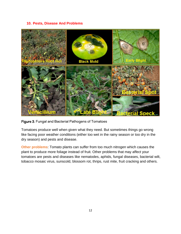#### **10. Pests, Disease And Problems**



Figure 3. Fungal and Bacterial Pathogens of Tomatoes

Tomatoes produce well when given what they need. But sometimes things go wrong like facing poor weather conditions (either too wet in the rainy season or too dry in the dry season) and pests and disease.

**Other problems**: Tomato plants can suffer from too much nitrogen which causes the plant to produce more foliage instead of fruit. Other problems that may affect your tomatoes are pests and diseases like nematodes, aphids, fungal diseases, bacterial wilt, tobacco mosaic virus, sunscold, blossom rot, thrips, rust mite, fruit cracking and others.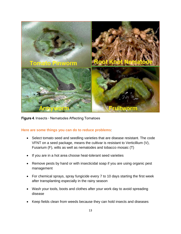

Figure 4. Insects - Nematodes Affecting Tomatoes

#### **Here are some things you can do to reduce problems**:

- Select tomato seed and seedling varieties that are disease resistant. The code VFNT on a seed package, means the cultivar is resistant to Verticillium (V), Fusarium (F), wilts as well as nematodes and tobacco mosaic (T)
- If you are in a hot area choose heat-tolerant seed varieties
- Remove pests by hand or with insecticidal soap if you are using organic pest management
- For chemical sprays, spray fungicide every 7 to 10 days starting the first week after transplanting especially in the rainy season
- Wash your tools, boots and clothes after your work day to avoid spreading disease
- Keep fields clean from weeds because they can hold insects and diseases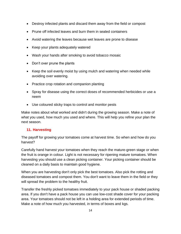- Destroy infected plants and discard them away from the field or compost
- Prune off infected leaves and burn them in sealed containers
- Avoid watering the leaves because wet leaves are prone to disease
- Keep your plants adequately watered
- Wash your hands after smoking to avoid tobacco mosaic
- Don't over prune the plants
- Keep the soil evenly moist by using mulch and watering when needed while avoiding over watering.
- Practice crop rotation and companion planting
- Spray for disease using the correct doses of recommended herbicides or use a neem
- Use coloured sticky traps to control and monitor pests

Make notes about what worked and didn't during the growing season. Make a note of what you used, how much you used and where. This will help you refine your plan the next season.

#### **11. Harvesting**

The payoff for growing your tomatoes come at harvest time. So when and how do you harvest?

Carefully hand harvest your tomatoes when they reach the mature-green stage or when the fruit is orange in colour. Light is not necessary for ripening mature tomatoes. When harvesting you should use a clean picking container. Your picking container should be cleaned on a daily basis to maintain good hygiene.

When you are harvesting don't only pick the best tomatoes. Also pick the rotting and diseased tomatoes and compost them. You don't want to leave them in the field or they will spread the problem to the healthy fruit.

Transfer the freshly picked tomatoes immediately to your pack house or shaded packing area. If you don't have a pack house you can use low-cost shade cover for your packing area. Your tomatoes should not be left in a holding area for extended periods of time. Make a note of how much you harvested, in terms of boxes and kgs.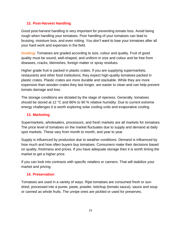#### **12. Post-Harvest Handling**

Good post-harvest handling is very important for preventing tomato loss. Avoid being rough when handling your tomatoes. Poor handling of your tomatoes can lead to bruising, moisture loss, and even rotting. You don't want to lose your tomatoes after all your hard work and expenses in the field.

**Grading**: Tomatoes are graded according to size, colour and quality. Fruit of good quality must be sound, well-shaped, and uniform in size and colour and be free from diseases, cracks, blemishes, foreign matter or spray residues.

Higher grade fruit is packed in plastic crates. If you are supplying supermarkets, restaurants and other food institutions, they expect high-quality tomatoes packed in plastic crates. Plastic crates are more durable and stackable. While they are more expensive than wooden crates they last longer, are easier to clean and can help prevent tomato damage and loss.

The storage conditions are dictated by the stage of ripeness. Generally, tomatoes should be stored at 12 °C and 86% to 90 % relative humidity. Due to current extreme energy challenges it is worth exploring solar cooling units and evaporative cooling.

#### **13. Marketing**

Supermarkets, wholesalers, processors, and fresh markets are all markets for tomatoes. The price level of tomatoes on the market fluctuates due to supply and demand at daily spot markets. These vary from month to month, and year to year.

Supply is influenced by production due to weather conditions. Demand is influenced by how much and how often buyers buy tomatoes. Consumers make their decisions based on quality, freshness and prices. If you have adequate storage then it is worth timing the market to get a higher price.

If you can look into contracts with specific retailers or canners. That will stabilize your market and pricing.

#### **14. Preservation**

Tomatoes are used in a variety of ways. Ripe tomatoes are consumed fresh or sundried, processed into a puree, paste, powder, ketchup (tomato sauce), sauce and soup or canned as whole fruits. The unripe ones are pickled or used for preserves.